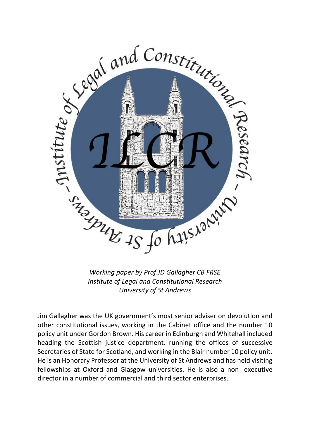

*Working paper by Prof JD Gallagher CB FRSE Institute of Legal and Constitutional Research University of St Andrews*

Jim Gallagher was the UK government's most senior adviser on devolution and other constitutional issues, working in the Cabinet office and the number 10 policy unit under Gordon Brown. His career in Edinburgh and Whitehall included heading the Scottish justice department, running the offices of successive Secretaries of State for Scotland, and working in the Blair number 10 policy unit. He is an Honorary Professor at the University of St Andrews and has held visiting fellowships at Oxford and Glasgow universities. He is also a non- executive director in a number of commercial and third sector enterprises.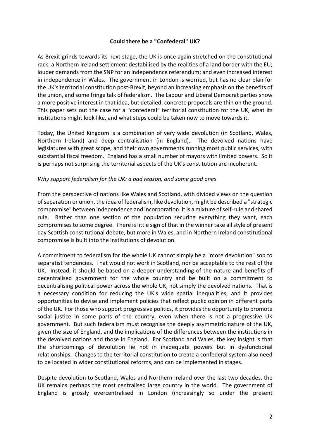#### **Could there be a "Confederal" UK?**

As Brexit grinds towards its next stage, the UK is once again stretched on the constitutional rack: a Northern Ireland settlement destabilised by the realities of a land border with the EU; louder demands from the SNP for an independence referendum; and even increased interest in independence in Wales. The government in London is worried, but has no clear plan for the UK's territorial constitution post-Brexit, beyond an increasing emphasis on the benefits of the union, and some fringe talk of federalism. The Labour and Liberal Democrat parties show a more positive interest in that idea, but detailed, concrete proposals are thin on the ground. This paper sets out the case for a "confederal" territorial constitution for the UK, what its institutions might look like, and what steps could be taken now to move towards it.

Today, the United Kingdom is a combination of very wide devolution (in Scotland, Wales, Northern Ireland) and deep centralisation (in England). The devolved nations have legislatures with great scope, and their own governments running most public services, with substantial fiscal freedom. England has a small number of mayors with limited powers. So it is perhaps not surprising the territorial aspects of the UK's constitution are incoherent.

#### *Why support federalism for the UK: a bad reason, and some good ones*

From the perspective of nations like Wales and Scotland, with divided views on the question of separation or union, the idea of federalism, like devolution, might be described a "strategic compromise" between independence and incorporation: it is a mixture of self-rule and shared rule. Rather than one section of the population securing everything they want, each compromises to some degree. There is little sign of that in the winner take all style of present day Scottish constitutional debate, but more in Wales, and in Northern Ireland constitutional compromise is built into the institutions of devolution.

A commitment to federalism for the whole UK cannot simply be a "more devolution" sop to separatist tendencies. That would not work in Scotland, nor be acceptable to the rest of the UK. Instead, it should be based on a deeper understanding of the nature and benefits of decentralised government for the whole country and be built on a commitment to decentralising political power across the whole UK, not simply the devolved nations. That is a necessary condition for reducing the UK's wide spatial inequalities, and it provides opportunities to devise and implement policies that reflect public opinion in different parts of the UK. For those who support progressive politics, it provides the opportunity to promote social justice in some parts of the country, even when there is not a progressive UK government. But such federalism must recognise the deeply asymmetric nature of the UK, given the size of England, and the implications of the differences between the institutions in the devolved nations and those in England. For Scotland and Wales, the key insight is that the shortcomings of devolution lie not in inadequate powers but in dysfunctional relationships. Changes to the territorial constitution to create a confederal system also need to be located in wider constitutional reforms, and can be implemented in stages.

Despite devolution to Scotland, Wales and Northern Ireland over the last two decades, the UK remains perhaps the most centralised large country in the world. The government of England is grossly overcentralised in London (increasingly so under the present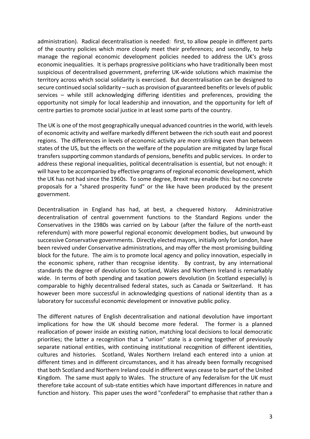administration). Radical decentralisation is needed: first, to allow people in different parts of the country policies which more closely meet their preferences; and secondly, to help manage the regional economic development policies needed to address the UK's gross economic inequalities. It is perhaps progressive politicians who have traditionally been most suspicious of decentralised government, preferring UK-wide solutions which maximise the territory across which social solidarity is exercised. But decentralisation can be designed to secure continued social solidarity – such as provision of guaranteed benefits or levels of public services – while still acknowledging differing identities and preferences, providing the opportunity not simply for local leadership and innovation, and the opportunity for left of centre parties to promote social justice in at least some parts of the country.

The UK is one of the most geographically unequal advanced countries in the world, with levels of economic activity and welfare markedly different between the rich south east and poorest regions. The differences in levels of economic activity are more striking even than between states of the US, but the effects on the welfare of the population are mitigated by large fiscal transfers supporting common standards of pensions, benefits and public services. In order to address these regional inequalities, political decentralisation is essential, but not enough: it will have to be accompanied by effective programs of regional economic development, which the UK has not had since the 1960s. To some degree, Brexit may enable this: but no concrete proposals for a "shared prosperity fund" or the like have been produced by the present government.

Decentralisation in England has had, at best, a chequered history. Administrative decentralisation of central government functions to the Standard Regions under the Conservatives in the 1980s was carried on by Labour (after the failure of the north-east referendum) with more powerful regional economic development bodies, but unwound by successive Conservative governments. Directly elected mayors, initially only for London, have been revived under Conservative administrations, and may offer the most promising building block for the future. The aim is to promote local agency and policy innovation, especially in the economic sphere, rather than recognise identity. By contrast, by any international standards the degree of devolution to Scotland, Wales and Northern Ireland is remarkably wide. In terms of both spending and taxation powers devolution (in Scotland especially) is comparable to highly decentralised federal states, such as Canada or Switzerland. It has however been more successful in acknowledging questions of national identity than as a laboratory for successful economic development or innovative public policy.

The different natures of English decentralisation and national devolution have important implications for how the UK should become more federal. The former is a planned reallocation of power inside an existing nation, matching local decisions to local democratic priorities; the latter a recognition that a "union" state is a coming together of previously separate national entities, with continuing institutional recognition of different identities, cultures and histories. Scotland, Wales Northern Ireland each entered into a union at different times and in different circumstances, and it has already been formally recognised that both Scotland and Northern Ireland could in different ways cease to be part of the United Kingdom. The same must apply to Wales. The structure of any federalism for the UK must therefore take account of sub-state entities which have important differences in nature and function and history. This paper uses the word "confederal" to emphasise that rather than a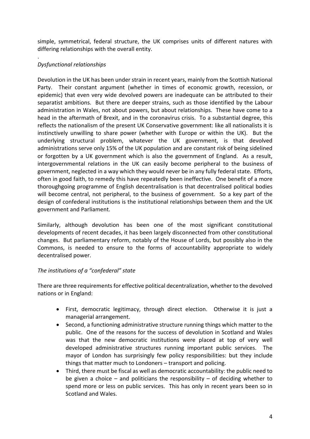simple, symmetrical, federal structure, the UK comprises units of different natures with differing relationships with the overall entity.

#### . *Dysfunctional relationships*

Devolution in the UK has been under strain in recent years, mainly from the Scottish National Party. Their constant argument (whether in times of economic growth, recession, or epidemic) that even very wide devolved powers are inadequate can be attributed to their separatist ambitions. But there are deeper strains, such as those identified by the Labour administration in Wales, not about powers, but about relationships. These have come to a head in the aftermath of Brexit, and in the coronavirus crisis. To a substantial degree, this reflects the nationalism of the present UK Conservative government: like all nationalists it is instinctively unwilling to share power (whether with Europe or within the UK). But the underlying structural problem, whatever the UK government, is that devolved administrations serve only 15% of the UK population and are constant risk of being sidelined or forgotten by a UK government which is also the government of England. As a result, intergovernmental relations in the UK can easily become peripheral to the business of government, neglected in a way which they would never be in any fully federal state. Efforts, often in good faith, to remedy this have repeatedly been ineffective. One benefit of a more thoroughgoing programme of English decentralisation is that decentralised political bodies will become central, not peripheral, to the business of government. So a key part of the design of confederal institutions is the institutional relationships between them and the UK government and Parliament.

Similarly, although devolution has been one of the most significant constitutional developments of recent decades, it has been largely disconnected from other constitutional changes. But parliamentary reform, notably of the House of Lords, but possibly also in the Commons, is needed to ensure to the forms of accountability appropriate to widely decentralised power.

# *The institutions of a "confederal" state*

There are three requirements for effective political decentralization, whether to the devolved nations or in England:

- First, democratic legitimacy, through direct election. Otherwise it is just a managerial arrangement.
- Second, a functioning administrative structure running things which matter to the public. One of the reasons for the success of devolution in Scotland and Wales was that the new democratic institutions were placed at top of very well developed administrative structures running important public services. The mayor of London has surprisingly few policy responsibilities: but they include things that matter much to Londoners – transport and policing.
- Third, there must be fiscal as well as democratic accountability: the public need to be given a choice – and politicians the responsibility – of deciding whether to spend more or less on public services. This has only in recent years been so in Scotland and Wales.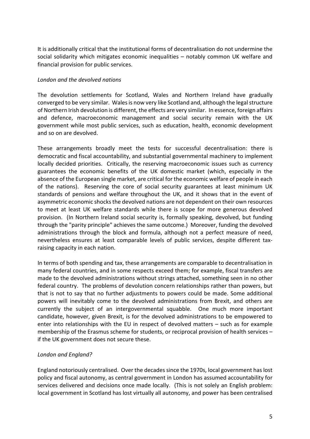It is additionally critical that the institutional forms of decentralisation do not undermine the social solidarity which mitigates economic inequalities – notably common UK welfare and financial provision for public services.

### *London and the devolved nations*

The devolution settlements for Scotland, Wales and Northern Ireland have gradually converged to be very similar. Wales is now very like Scotland and, although the legal structure of Northern Irish devolution is different, the effects are very similar. In essence, foreign affairs and defence, macroeconomic management and social security remain with the UK government while most public services, such as education, health, economic development and so on are devolved.

These arrangements broadly meet the tests for successful decentralisation: there is democratic and fiscal accountability, and substantial governmental machinery to implement locally decided priorities. Critically, the reserving macroeconomic issues such as currency guarantees the economic benefits of the UK domestic market (which, especially in the absence of the European single market, are critical for the economic welfare of people in each of the nations). Reserving the core of social security guarantees at least minimum UK standards of pensions and welfare throughout the UK, and it shows that in the event of asymmetric economic shocks the devolved nations are not dependent on their own resources to meet at least UK welfare standards while there is scope for more generous devolved provision. (In Northern Ireland social security is, formally speaking, devolved, but funding through the "parity principle" achieves the same outcome.) Moreover, funding the devolved administrations through the block and formula, although not a perfect measure of need, nevertheless ensures at least comparable levels of public services, despite different taxraising capacity in each nation.

In terms of both spending and tax, these arrangements are comparable to decentralisation in many federal countries, and in some respects exceed them; for example, fiscal transfers are made to the devolved administrations without strings attached, something seen in no other federal country. The problems of devolution concern relationships rather than powers, but that is not to say that no further adjustments to powers could be made. Some additional powers will inevitably come to the devolved administrations from Brexit, and others are currently the subject of an intergovernmental squabble. One much more important candidate, however, given Brexit, is for the devolved administrations to be empowered to enter into relationships with the EU in respect of devolved matters – such as for example membership of the Erasmus scheme for students, or reciprocal provision of health services – if the UK government does not secure these.

# *London and England?*

England notoriously centralised. Over the decades since the 1970s, local government has lost policy and fiscal autonomy, as central government in London has assumed accountability for services delivered and decisions once made locally. (This is not solely an English problem: local government in Scotland has lost virtually all autonomy, and power has been centralised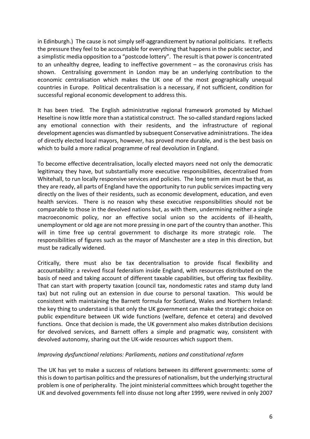in Edinburgh.) The cause is not simply self-aggrandizement by national politicians. It reflects the pressure they feel to be accountable for everything that happens in the public sector, and a simplistic media opposition to a "postcode lottery". The result is that power is concentrated to an unhealthy degree, leading to ineffective government – as the coronavirus crisis has shown. Centralising government in London may be an underlying contribution to the economic centralisation which makes the UK one of the most geographically unequal countries in Europe. Political decentralisation is a necessary, if not sufficient, condition for successful regional economic development to address this.

It has been tried. The English administrative regional framework promoted by Michael Heseltine is now little more than a statistical construct. The so-called standard regions lacked any emotional connection with their residents, and the infrastructure of regional development agencies was dismantled by subsequent Conservative administrations. The idea of directly elected local mayors, however, has proved more durable, and is the best basis on which to build a more radical programme of real devolution in England.

To become effective decentralisation, locally elected mayors need not only the democratic legitimacy they have, but substantially more executive responsibilities, decentralised from Whitehall, to run locally responsive services and policies. The long term aim must be that, as they are ready, all parts of England have the opportunity to run public services impacting very directly on the lives of their residents, such as economic development, education, and even health services. There is no reason why these executive responsibilities should not be comparable to those in the devolved nations but, as with them, undermining neither a single macroeconomic policy, nor an effective social union so the accidents of ill-health, unemployment or old age are not more pressing in one part of the country than another. This will in time free up central government to discharge its more strategic role. The responsibilities of figures such as the mayor of Manchester are a step in this direction, but must be radically widened.

Critically, there must also be tax decentralisation to provide fiscal flexibility and accountability: a revived fiscal federalism inside England, with resources distributed on the basis of need and taking account of different taxable capabilities, but offering tax flexibility. That can start with property taxation (council tax, nondomestic rates and stamp duty land tax) but not ruling out an extension in due course to personal taxation. This would be consistent with maintaining the Barnett formula for Scotland, Wales and Northern Ireland: the key thing to understand is that only the UK government can make the strategic choice on public expenditure between UK wide functions (welfare, defence et cetera) and devolved functions. Once that decision is made, the UK government also makes distribution decisions for devolved services, and Barnett offers a simple and pragmatic way, consistent with devolved autonomy, sharing out the UK-wide resources which support them.

# *Improving dysfunctional relations: Parliaments, nations and constitutional reform*

The UK has yet to make a success of relations between its different governments: some of this is down to partisan politics and the pressures of nationalism, but the underlying structural problem is one of peripherality. The joint ministerial committees which brought together the UK and devolved governments fell into disuse not long after 1999, were revived in only 2007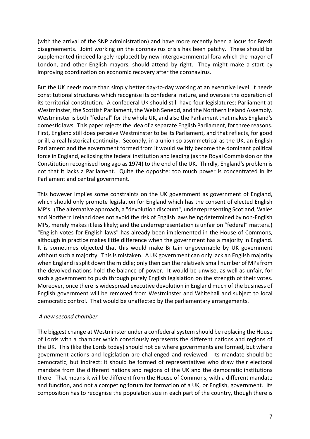(with the arrival of the SNP administration) and have more recently been a locus for Brexit disagreements. Joint working on the coronavirus crisis has been patchy. These should be supplemented (indeed largely replaced) by new intergovernmental fora which the mayor of London, and other English mayors, should attend by right. They might make a start by improving coordination on economic recovery after the coronavirus.

But the UK needs more than simply better day-to-day working at an executive level: it needs constitutional structures which recognise its confederal nature, and oversee the operation of its territorial constitution. A confederal UK should still have four legislatures: Parliament at Westminster, the Scottish Parliament, the Welsh Senedd, and the Northern Ireland Assembly. Westminster is both "federal" for the whole UK, and also the Parliament that makes England's domestic laws. This paper rejects the idea of a separate English Parliament, for three reasons. First, England still does perceive Westminster to be its Parliament, and that reflects, for good or ill, a real historical continuity. Secondly, in a union so asymmetrical as the UK, an English Parliament and the government formed from it would swiftly become the dominant political force in England, eclipsing the federal institution and leading (as the Royal Commission on the Constitution recognised long ago as 1974) to the end of the UK. Thirdly, England's problem is not that it lacks a Parliament. Quite the opposite: too much power is concentrated in its Parliament and central government.

This however implies some constraints on the UK government as government of England, which should only promote legislation for England which has the consent of elected English MP's. (The alternative approach, a "devolution discount", underrepresenting Scotland, Wales and Northern Ireland does not avoid the risk of English laws being determined by non-English MPs, merely makes it less likely; and the underrepresentation is unfair on "federal" matters.) "English votes for English laws" has already been implemented in the House of Commons, although in practice makes little difference when the government has a majority in England. It is sometimes objected that this would make Britain ungovernable by UK government without such a majority. This is mistaken. A UK government can only lack an English majority when England is split down the middle; only then can the relatively small number of MPs from the devolved nations hold the balance of power. It would be unwise, as well as unfair, for such a government to push through purely English legislation on the strength of their votes. Moreover, once there is widespread executive devolution in England much of the business of English government will be removed from Westminster and Whitehall and subject to local democratic control. That would be unaffected by the parliamentary arrangements.

# *A new second chamber*

The biggest change at Westminster under a confederal system should be replacing the House of Lords with a chamber which consciously represents the different nations and regions of the UK. This (like the Lords today) should not be where governments are formed, but where government actions and legislation are challenged and reviewed. Its mandate should be democratic, but indirect: it should be formed of representatives who draw their electoral mandate from the different nations and regions of the UK and the democratic institutions there. That means it will be different from the House of Commons, with a different mandate and function, and not a competing forum for formation of a UK, or English, government. Its composition has to recognise the population size in each part of the country, though there is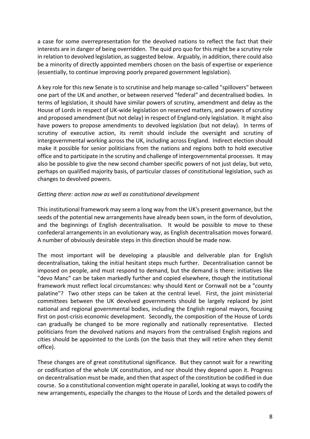a case for some overrepresentation for the devolved nations to reflect the fact that their interests are in danger of being overridden. The quid pro quo for this might be a scrutiny role in relation to devolved legislation, as suggested below. Arguably, in addition, there could also be a minority of directly appointed members chosen on the basis of expertise or experience (essentially, to continue improving poorly prepared government legislation).

A key role for this new Senate is to scrutinise and help manage so-called "spillovers" between one part of the UK and another, or between reserved "federal" and decentralised bodies. In terms of legislation, it should have similar powers of scrutiny, amendment and delay as the House of Lords in respect of UK-wide legislation on reserved matters, and powers of scrutiny and proposed amendment (but not delay) in respect of England-only legislation. It might also have powers to propose amendments to devolved legislation (but not delay). In terms of scrutiny of executive action, its remit should include the oversight and scrutiny of intergovernmental working across the UK, including across England. Indirect election should make it possible for senior politicians from the nations and regions both to hold executive office and to participate in the scrutiny and challenge of intergovernmental processes. It may also be possible to give the new second chamber specific powers of not just delay, but veto, perhaps on qualified majority basis, of particular classes of constitutional legislation, such as changes to devolved powers.

#### *Getting there: action now as well as constitutional development*

This institutional framework may seem a long way from the UK's present governance, but the seeds of the potential new arrangements have already been sown, in the form of devolution, and the beginnings of English decentralisation. It would be possible to move to these confederal arrangements in an evolutionary way, as English decentralisation moves forward. A number of obviously desirable steps in this direction should be made now.

The most important will be developing a plausible and deliverable plan for English decentralisation, taking the initial hesitant steps much further. Decentralisation cannot be imposed on people, and must respond to demand, but the demand is there: initiatives like "devo Manc" can be taken markedly further and copied elsewhere, though the institutional framework must reflect local circumstances: why should Kent or Cornwall not be a "county palatine"? Two other steps can be taken at the central level. First, the joint ministerial committees between the UK devolved governments should be largely replaced by joint national and regional governmental bodies, including the English regional mayors, focusing first on post-crisis economic development. Secondly, the composition of the House of Lords can gradually be changed to be more regionally and nationally representative. Elected politicians from the devolved nations and mayors from the centralised English regions and cities should be appointed to the Lords (on the basis that they will retire when they demit office).

These changes are of great constitutional significance. But they cannot wait for a rewriting or codification of the whole UK constitution, and nor should they depend upon it. Progress on decentralisation must be made, and then that aspect of the constitution be codified in due course. So a constitutional convention might operate in parallel, looking at ways to codify the new arrangements, especially the changes to the House of Lords and the detailed powers of